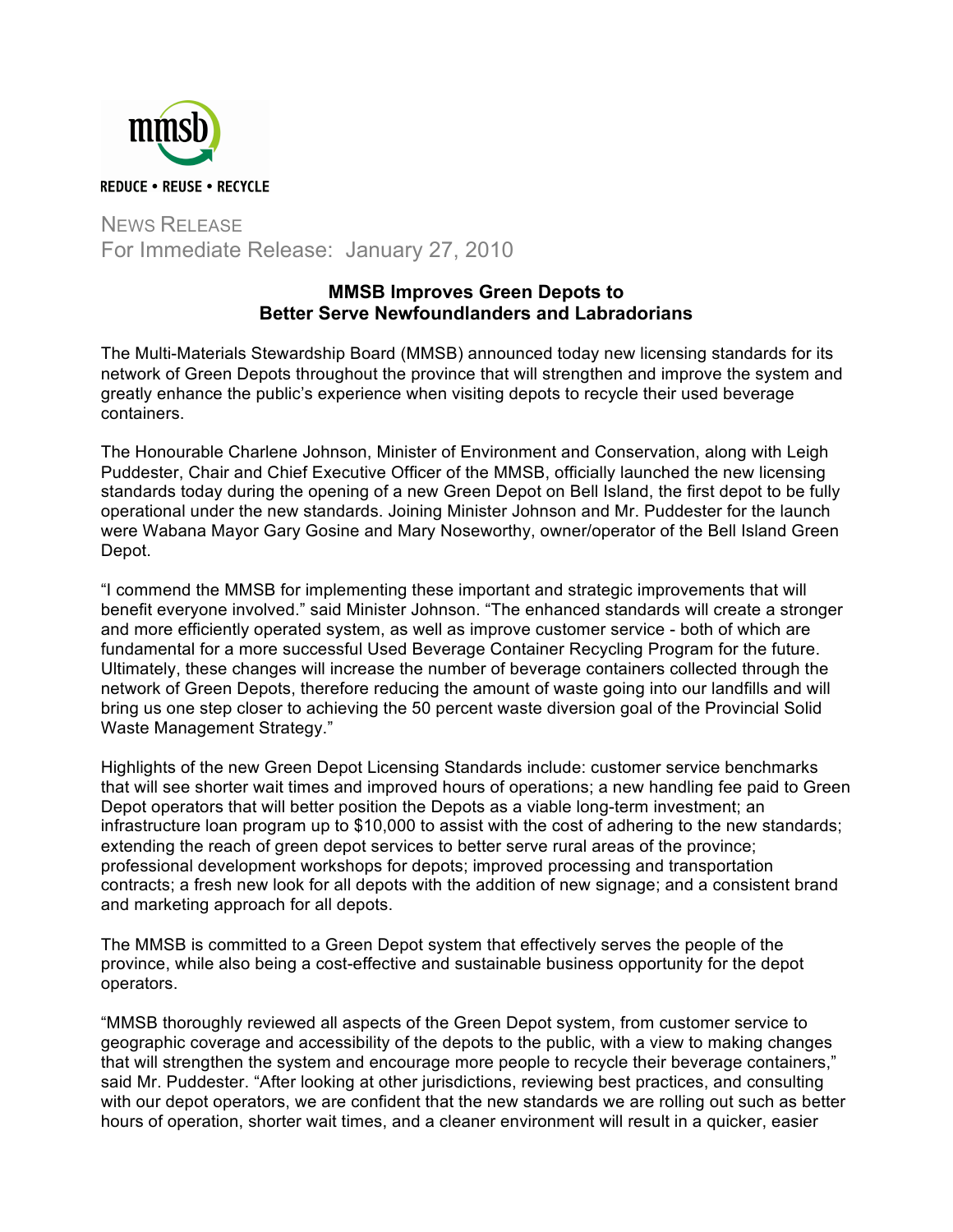

NEWS RELEASE For Immediate Release: January 27, 2010

## **MMSB Improves Green Depots to Better Serve Newfoundlanders and Labradorians**

The Multi-Materials Stewardship Board (MMSB) announced today new licensing standards for its network of Green Depots throughout the province that will strengthen and improve the system and greatly enhance the public's experience when visiting depots to recycle their used beverage containers.

The Honourable Charlene Johnson, Minister of Environment and Conservation, along with Leigh Puddester, Chair and Chief Executive Officer of the MMSB, officially launched the new licensing standards today during the opening of a new Green Depot on Bell Island, the first depot to be fully operational under the new standards. Joining Minister Johnson and Mr. Puddester for the launch were Wabana Mayor Gary Gosine and Mary Noseworthy, owner/operator of the Bell Island Green Depot.

"I commend the MMSB for implementing these important and strategic improvements that will benefit everyone involved." said Minister Johnson. "The enhanced standards will create a stronger and more efficiently operated system, as well as improve customer service - both of which are fundamental for a more successful Used Beverage Container Recycling Program for the future. Ultimately, these changes will increase the number of beverage containers collected through the network of Green Depots, therefore reducing the amount of waste going into our landfills and will bring us one step closer to achieving the 50 percent waste diversion goal of the Provincial Solid Waste Management Strategy."

Highlights of the new Green Depot Licensing Standards include: customer service benchmarks that will see shorter wait times and improved hours of operations; a new handling fee paid to Green Depot operators that will better position the Depots as a viable long-term investment; an infrastructure loan program up to \$10,000 to assist with the cost of adhering to the new standards; extending the reach of green depot services to better serve rural areas of the province; professional development workshops for depots; improved processing and transportation contracts; a fresh new look for all depots with the addition of new signage; and a consistent brand and marketing approach for all depots.

The MMSB is committed to a Green Depot system that effectively serves the people of the province, while also being a cost-effective and sustainable business opportunity for the depot operators.

"MMSB thoroughly reviewed all aspects of the Green Depot system, from customer service to geographic coverage and accessibility of the depots to the public, with a view to making changes that will strengthen the system and encourage more people to recycle their beverage containers," said Mr. Puddester. "After looking at other jurisdictions, reviewing best practices, and consulting with our depot operators, we are confident that the new standards we are rolling out such as better hours of operation, shorter wait times, and a cleaner environment will result in a quicker, easier